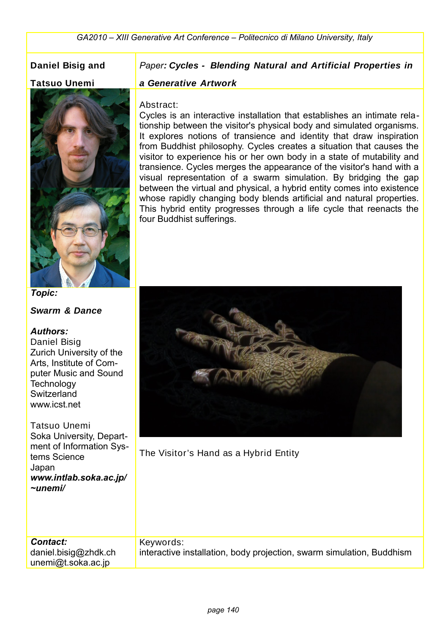# **Daniel Bisig and**

#### **Tatsuo Unemi**



*Topic:* 

**Swarm & Dance**

#### *Authors:*

Daniel Bisig Zurich University of the Arts, Institute of Computer Music and Sound **Technology Switzerland** www.icst.net

Tatsuo Unemi Soka University, Department of Information Systems Science Japan *www.intlab.soka.ac.jp/ ~unemi/*

### *Paper:* **Cycles - Blending Natural and Artificial Properties in**

#### **a Generative Artwork**

#### Abstract:

Cycles is an interactive installation that establishes an intimate relationship between the visitor's physical body and simulated organisms. It explores notions of transience and identity that draw inspiration from Buddhist philosophy. Cycles creates a situation that causes the visitor to experience his or her own body in a state of mutability and transience. Cycles merges the appearance of the visitor's hand with a visual representation of a swarm simulation. By bridging the gap between the virtual and physical, a hybrid entity comes into existence whose rapidly changing body blends artificial and natural properties. This hybrid entity progresses through a life cycle that reenacts the four Buddhist sufferings.



The Visitor's Hand as a Hybrid Entity

*Contact:* daniel.bisig@zhdk.ch unemi@t.soka.ac.jp Keywords: interactive installation, body projection, swarm simulation, Buddhism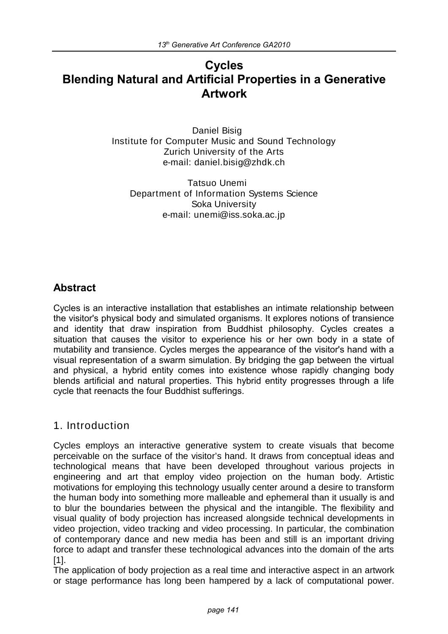# **Cycles Blending Natural and Artificial Properties in a Generative Artwork**

Daniel Bisig Institute for Computer Music and Sound Technology Zurich University of the Arts e-mail: daniel.bisig@zhdk.ch

Tatsuo Unemi Department of Information Systems Science Soka University e-mail: unemi@iss.soka.ac.jp

# **Abstract**

Cycles is an interactive installation that establishes an intimate relationship between the visitor's physical body and simulated organisms. It explores notions of transience and identity that draw inspiration from Buddhist philosophy. Cycles creates a situation that causes the visitor to experience his or her own body in a state of mutability and transience. Cycles merges the appearance of the visitor's hand with a visual representation of a swarm simulation. By bridging the gap between the virtual and physical, a hybrid entity comes into existence whose rapidly changing body blends artificial and natural properties. This hybrid entity progresses through a life cycle that reenacts the four Buddhist sufferings.

# 1. Introduction

Cycles employs an interactive generative system to create visuals that become perceivable on the surface of the visitor's hand. It draws from conceptual ideas and technological means that have been developed throughout various projects in engineering and art that employ video projection on the human body. Artistic motivations for employing this technology usually center around a desire to transform the human body into something more malleable and ephemeral than it usually is and to blur the boundaries between the physical and the intangible. The flexibility and visual quality of body projection has increased alongside technical developments in video projection, video tracking and video processing. In particular, the combination of contemporary dance and new media has been and still is an important driving force to adapt and transfer these technological advances into the domain of the arts [1].

The application of body projection as a real time and interactive aspect in an artwork or stage performance has long been hampered by a lack of computational power.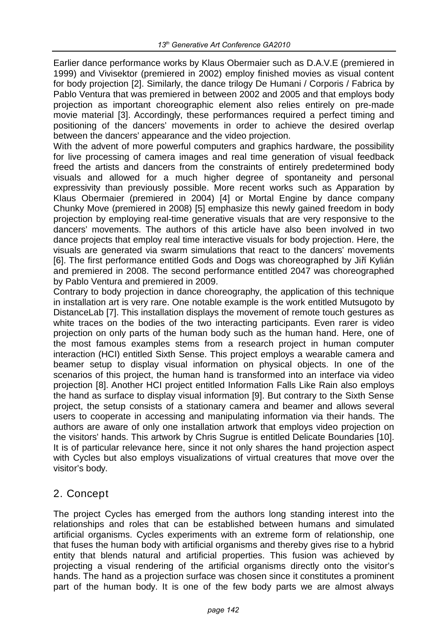Earlier dance performance works by Klaus Obermaier such as D.A.V.E (premiered in 1999) and Vivisektor (premiered in 2002) employ finished movies as visual content for body projection [2]. Similarly, the dance trilogy De Humani / Corporis / Fabrica by Pablo Ventura that was premiered in between 2002 and 2005 and that employs body projection as important choreographic element also relies entirely on pre-made movie material [3]. Accordingly, these performances required a perfect timing and positioning of the dancers' movements in order to achieve the desired overlap between the dancers' appearance and the video projection.

With the advent of more powerful computers and graphics hardware, the possibility for live processing of camera images and real time generation of visual feedback freed the artists and dancers from the constraints of entirely predetermined body visuals and allowed for a much higher degree of spontaneity and personal expressivity than previously possible. More recent works such as Apparation by Klaus Obermaier (premiered in 2004) [4] or Mortal Engine by dance company Chunky Move (premiered in 2008) [5] emphasize this newly gained freedom in body projection by employing real-time generative visuals that are very responsive to the dancers' movements. The authors of this article have also been involved in two dance projects that employ real time interactive visuals for body projection. Here, the visuals are generated via swarm simulations that react to the dancers' movements [6]. The first performance entitled Gods and Dogs was choreographed by Jiří Kylián and premiered in 2008. The second performance entitled 2047 was choreographed by Pablo Ventura and premiered in 2009.

Contrary to body projection in dance choreography, the application of this technique in installation art is very rare. One notable example is the work entitled Mutsugoto by DistanceLab [7]. This installation displays the movement of remote touch gestures as white traces on the bodies of the two interacting participants. Even rarer is video projection on only parts of the human body such as the human hand. Here, one of the most famous examples stems from a research project in human computer interaction (HCI) entitled Sixth Sense. This project employs a wearable camera and beamer setup to display visual information on physical objects. In one of the scenarios of this project, the human hand is transformed into an interface via video projection [8]. Another HCI project entitled Information Falls Like Rain also employs the hand as surface to display visual information [9]. But contrary to the Sixth Sense project, the setup consists of a stationary camera and beamer and allows several users to cooperate in accessing and manipulating information via their hands. The authors are aware of only one installation artwork that employs video projection on the visitors' hands. This artwork by Chris Sugrue is entitled Delicate Boundaries [10]. It is of particular relevance here, since it not only shares the hand projection aspect with Cycles but also employs visualizations of virtual creatures that move over the visitor's body.

# 2. Concept

The project Cycles has emerged from the authors long standing interest into the relationships and roles that can be established between humans and simulated artificial organisms. Cycles experiments with an extreme form of relationship, one that fuses the human body with artificial organisms and thereby gives rise to a hybrid entity that blends natural and artificial properties. This fusion was achieved by projecting a visual rendering of the artificial organisms directly onto the visitor's hands. The hand as a projection surface was chosen since it constitutes a prominent part of the human body. It is one of the few body parts we are almost always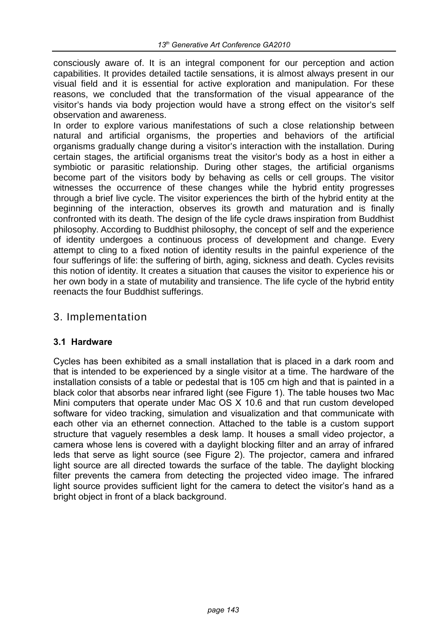consciously aware of. It is an integral component for our perception and action capabilities. It provides detailed tactile sensations, it is almost always present in our visual field and it is essential for active exploration and manipulation. For these reasons, we concluded that the transformation of the visual appearance of the visitor's hands via body projection would have a strong effect on the visitor's self observation and awareness.

In order to explore various manifestations of such a close relationship between natural and artificial organisms, the properties and behaviors of the artificial organisms gradually change during a visitor's interaction with the installation. During certain stages, the artificial organisms treat the visitor's body as a host in either a symbiotic or parasitic relationship. During other stages, the artificial organisms become part of the visitors body by behaving as cells or cell groups. The visitor witnesses the occurrence of these changes while the hybrid entity progresses through a brief live cycle. The visitor experiences the birth of the hybrid entity at the beginning of the interaction, observes its growth and maturation and is finally confronted with its death. The design of the life cycle draws inspiration from Buddhist philosophy. According to Buddhist philosophy, the concept of self and the experience of identity undergoes a continuous process of development and change. Every attempt to cling to a fixed notion of identity results in the painful experience of the four sufferings of life: the suffering of birth, aging, sickness and death. Cycles revisits this notion of identity. It creates a situation that causes the visitor to experience his or her own body in a state of mutability and transience. The life cycle of the hybrid entity reenacts the four Buddhist sufferings.

# 3. Implementation

#### **3.1 Hardware**

Cycles has been exhibited as a small installation that is placed in a dark room and that is intended to be experienced by a single visitor at a time. The hardware of the installation consists of a table or pedestal that is 105 cm high and that is painted in a black color that absorbs near infrared light (see Figure 1). The table houses two Mac Mini computers that operate under Mac OS X 10.6 and that run custom developed software for video tracking, simulation and visualization and that communicate with each other via an ethernet connection. Attached to the table is a custom support structure that vaguely resembles a desk lamp. It houses a small video projector, a camera whose lens is covered with a daylight blocking filter and an array of infrared leds that serve as light source (see Figure 2). The projector, camera and infrared light source are all directed towards the surface of the table. The daylight blocking filter prevents the camera from detecting the projected video image. The infrared light source provides sufficient light for the camera to detect the visitor's hand as a bright object in front of a black background.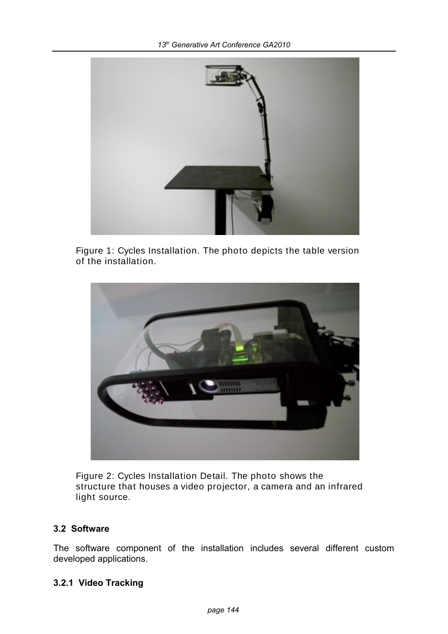

Figure 1: Cycles Installation. The photo depicts the table version of the installation.



Figure 2: Cycles Installation Detail. The photo shows the structure that houses a video projector, a camera and an infrared light source.

#### **3.2 Software**

The software component of the installation includes several different custom developed applications.

### **3.2.1 Video Tracking**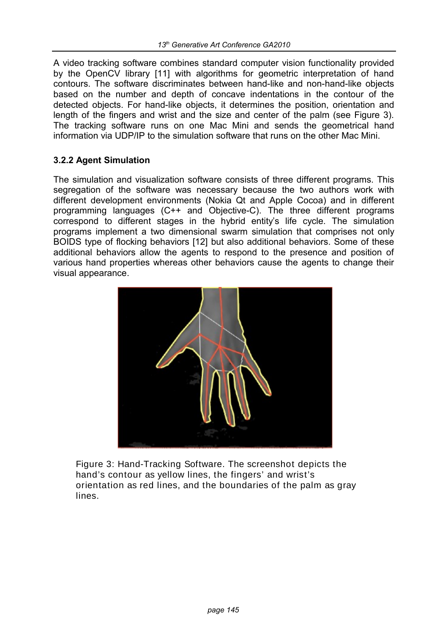A video tracking software combines standard computer vision functionality provided by the OpenCV library [11] with algorithms for geometric interpretation of hand contours. The software discriminates between hand-like and non-hand-like objects based on the number and depth of concave indentations in the contour of the detected objects. For hand-like objects, it determines the position, orientation and length of the fingers and wrist and the size and center of the palm (see Figure 3). The tracking software runs on one Mac Mini and sends the geometrical hand information via UDP/IP to the simulation software that runs on the other Mac Mini.

### **3.2.2 Agent Simulation**

The simulation and visualization software consists of three different programs. This segregation of the software was necessary because the two authors work with different development environments (Nokia Qt and Apple Cocoa) and in different programming languages (C++ and Objective-C). The three different programs correspond to different stages in the hybrid entity's life cycle. The simulation programs implement a two dimensional swarm simulation that comprises not only BOIDS type of flocking behaviors [12] but also additional behaviors. Some of these additional behaviors allow the agents to respond to the presence and position of various hand properties whereas other behaviors cause the agents to change their visual appearance.



Figure 3: Hand-Tracking Software. The screenshot depicts the hand's contour as yellow lines, the fingers' and wrist's orientation as red lines, and the boundaries of the palm as gray lines.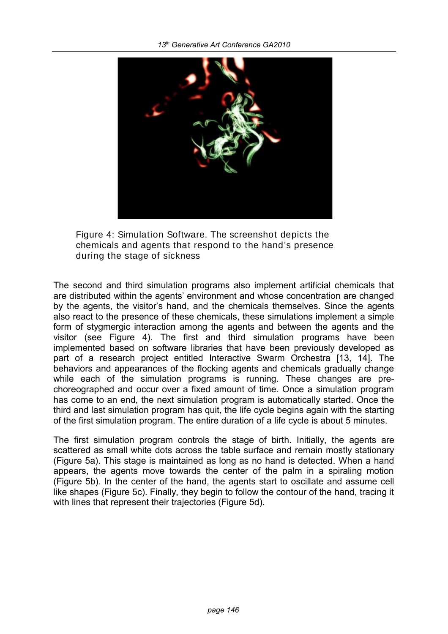

Figure 4: Simulation Software. The screenshot depicts the chemicals and agents that respond to the hand's presence during the stage of sickness

The second and third simulation programs also implement artificial chemicals that are distributed within the agents' environment and whose concentration are changed by the agents, the visitor's hand, and the chemicals themselves. Since the agents also react to the presence of these chemicals, these simulations implement a simple form of stygmergic interaction among the agents and between the agents and the visitor (see Figure 4). The first and third simulation programs have been implemented based on software libraries that have been previously developed as part of a research project entitled Interactive Swarm Orchestra [13, 14]. The behaviors and appearances of the flocking agents and chemicals gradually change while each of the simulation programs is running. These changes are prechoreographed and occur over a fixed amount of time. Once a simulation program has come to an end, the next simulation program is automatically started. Once the third and last simulation program has quit, the life cycle begins again with the starting of the first simulation program. The entire duration of a life cycle is about 5 minutes.

The first simulation program controls the stage of birth. Initially, the agents are scattered as small white dots across the table surface and remain mostly stationary (Figure 5a). This stage is maintained as long as no hand is detected. When a hand appears, the agents move towards the center of the palm in a spiraling motion (Figure 5b). In the center of the hand, the agents start to oscillate and assume cell like shapes (Figure 5c). Finally, they begin to follow the contour of the hand, tracing it with lines that represent their trajectories (Figure 5d).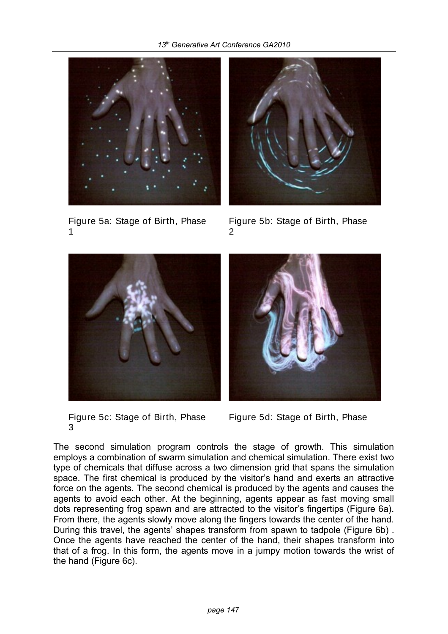

Figure 5a: Stage of Birth, Phase 1



Figure 5b: Stage of Birth, Phase 2



Figure 5c: Stage of Birth, Phase 3

Figure 5d: Stage of Birth, Phase

The second simulation program controls the stage of growth. This simulation employs a combination of swarm simulation and chemical simulation. There exist two type of chemicals that diffuse across a two dimension grid that spans the simulation space. The first chemical is produced by the visitor's hand and exerts an attractive force on the agents. The second chemical is produced by the agents and causes the agents to avoid each other. At the beginning, agents appear as fast moving small dots representing frog spawn and are attracted to the visitor's fingertips (Figure 6a). From there, the agents slowly move along the fingers towards the center of the hand. During this travel, the agents' shapes transform from spawn to tadpole (Figure 6b) . Once the agents have reached the center of the hand, their shapes transform into that of a frog. In this form, the agents move in a jumpy motion towards the wrist of the hand (Figure 6c).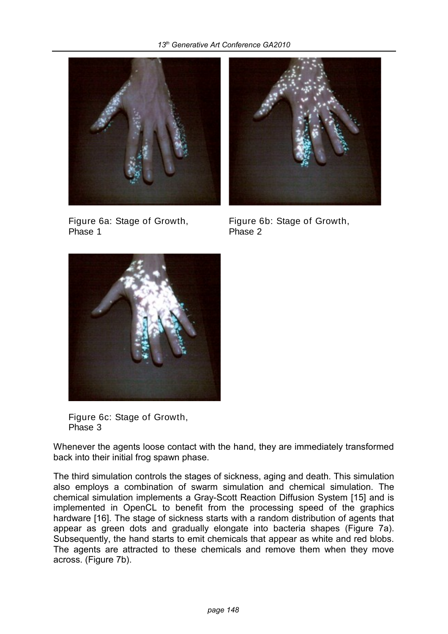

Figure 6a: Stage of Growth, Phase 1



Figure 6b: Stage of Growth, Phase 2



Figure 6c: Stage of Growth, Phase 3

Whenever the agents loose contact with the hand, they are immediately transformed back into their initial frog spawn phase.

The third simulation controls the stages of sickness, aging and death. This simulation also employs a combination of swarm simulation and chemical simulation. The chemical simulation implements a Gray-Scott Reaction Diffusion System [15] and is implemented in OpenCL to benefit from the processing speed of the graphics hardware [16]. The stage of sickness starts with a random distribution of agents that appear as green dots and gradually elongate into bacteria shapes (Figure 7a). Subsequently, the hand starts to emit chemicals that appear as white and red blobs. The agents are attracted to these chemicals and remove them when they move across. (Figure 7b).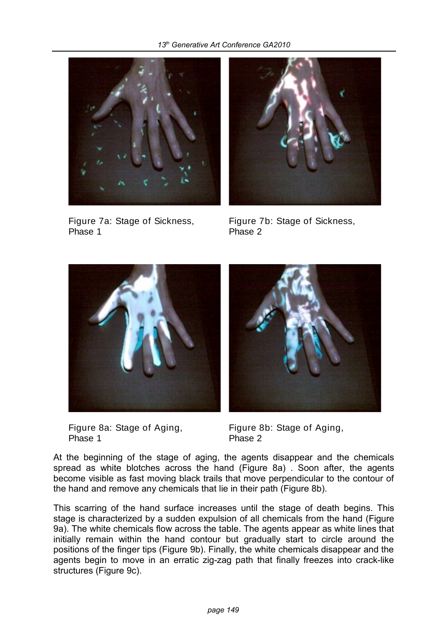

Figure 7a: Stage of Sickness, Phase 1



Figure 7b: Stage of Sickness, Phase 2



Figure 8a: Stage of Aging, Phase 1



Figure 8b: Stage of Aging, Phase 2

At the beginning of the stage of aging, the agents disappear and the chemicals spread as white blotches across the hand (Figure 8a) . Soon after, the agents become visible as fast moving black trails that move perpendicular to the contour of the hand and remove any chemicals that lie in their path (Figure 8b).

This scarring of the hand surface increases until the stage of death begins. This stage is characterized by a sudden expulsion of all chemicals from the hand (Figure 9a). The white chemicals flow across the table. The agents appear as white lines that initially remain within the hand contour but gradually start to circle around the positions of the finger tips (Figure 9b). Finally, the white chemicals disappear and the agents begin to move in an erratic zig-zag path that finally freezes into crack-like structures (Figure 9c).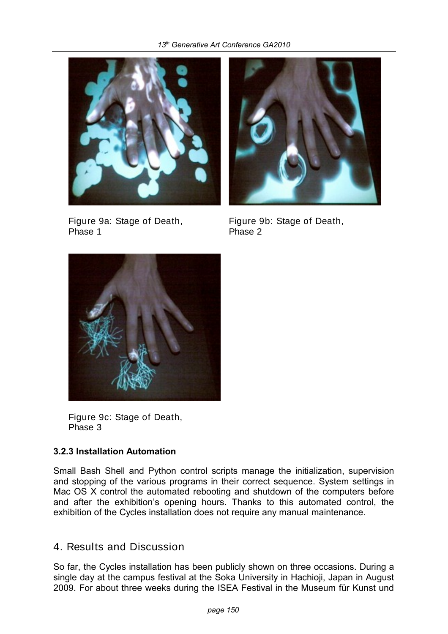

Figure 9a: Stage of Death, Phase 1



Figure 9b: Stage of Death, Phase 2



Figure 9c: Stage of Death, Phase 3

### **3.2.3 Installation Automation**

Small Bash Shell and Python control scripts manage the initialization, supervision and stopping of the various programs in their correct sequence. System settings in Mac OS X control the automated rebooting and shutdown of the computers before and after the exhibition's opening hours. Thanks to this automated control, the exhibition of the Cycles installation does not require any manual maintenance.

# 4. Results and Discussion

So far, the Cycles installation has been publicly shown on three occasions. During a single day at the campus festival at the Soka University in Hachioji, Japan in August 2009. For about three weeks during the ISEA Festival in the Museum für Kunst und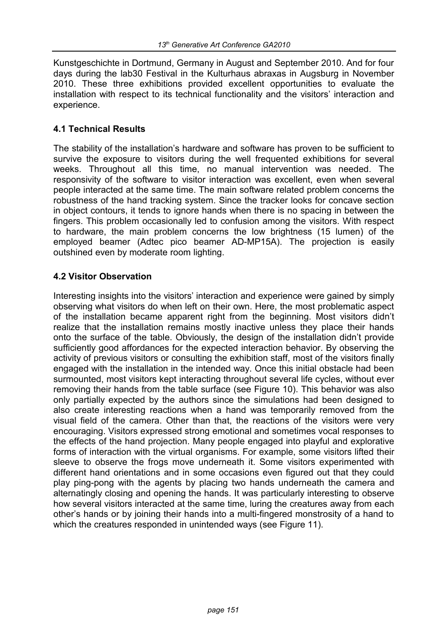Kunstgeschichte in Dortmund, Germany in August and September 2010. And for four days during the lab30 Festival in the Kulturhaus abraxas in Augsburg in November 2010. These three exhibitions provided excellent opportunities to evaluate the installation with respect to its technical functionality and the visitors' interaction and experience.

### **4.1 Technical Results**

The stability of the installation's hardware and software has proven to be sufficient to survive the exposure to visitors during the well frequented exhibitions for several weeks. Throughout all this time, no manual intervention was needed. The responsivity of the software to visitor interaction was excellent, even when several people interacted at the same time. The main software related problem concerns the robustness of the hand tracking system. Since the tracker looks for concave section in object contours, it tends to ignore hands when there is no spacing in between the fingers. This problem occasionally led to confusion among the visitors. With respect to hardware, the main problem concerns the low brightness (15 lumen) of the employed beamer (Adtec pico beamer AD-MP15A). The projection is easily outshined even by moderate room lighting.

# **4.2 Visitor Observation**

Interesting insights into the visitors' interaction and experience were gained by simply observing what visitors do when left on their own. Here, the most problematic aspect of the installation became apparent right from the beginning. Most visitors didn't realize that the installation remains mostly inactive unless they place their hands onto the surface of the table. Obviously, the design of the installation didn't provide sufficiently good affordances for the expected interaction behavior. By observing the activity of previous visitors or consulting the exhibition staff, most of the visitors finally engaged with the installation in the intended way. Once this initial obstacle had been surmounted, most visitors kept interacting throughout several life cycles, without ever removing their hands from the table surface (see Figure 10). This behavior was also only partially expected by the authors since the simulations had been designed to also create interesting reactions when a hand was temporarily removed from the visual field of the camera. Other than that, the reactions of the visitors were very encouraging. Visitors expressed strong emotional and sometimes vocal responses to the effects of the hand projection. Many people engaged into playful and explorative forms of interaction with the virtual organisms. For example, some visitors lifted their sleeve to observe the frogs move underneath it. Some visitors experimented with different hand orientations and in some occasions even figured out that they could play ping-pong with the agents by placing two hands underneath the camera and alternatingly closing and opening the hands. It was particularly interesting to observe how several visitors interacted at the same time, luring the creatures away from each other's hands or by joining their hands into a multi-fingered monstrosity of a hand to which the creatures responded in unintended ways (see Figure 11).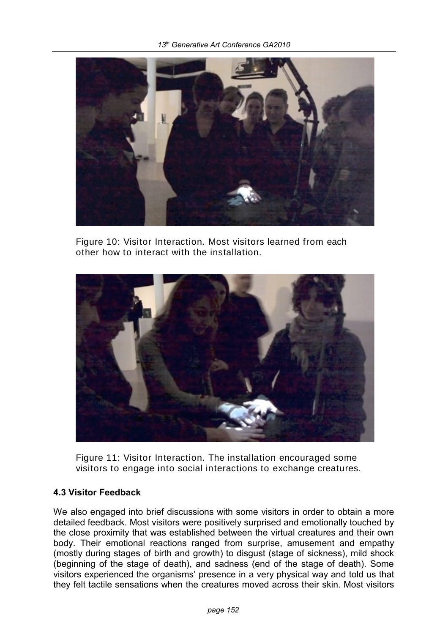

Figure 10: Visitor Interaction. Most visitors learned from each other how to interact with the installation.



Figure 11: Visitor Interaction. The installation encouraged some visitors to engage into social interactions to exchange creatures.

### **4.3 Visitor Feedback**

We also engaged into brief discussions with some visitors in order to obtain a more detailed feedback. Most visitors were positively surprised and emotionally touched by the close proximity that was established between the virtual creatures and their own body. Their emotional reactions ranged from surprise, amusement and empathy (mostly during stages of birth and growth) to disgust (stage of sickness), mild shock (beginning of the stage of death), and sadness (end of the stage of death). Some visitors experienced the organisms' presence in a very physical way and told us that they felt tactile sensations when the creatures moved across their skin. Most visitors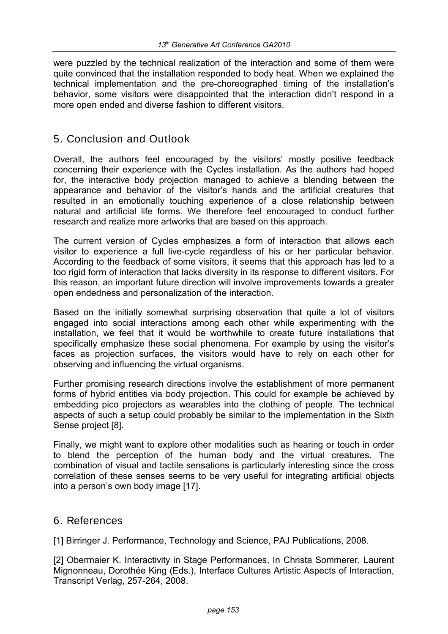were puzzled by the technical realization of the interaction and some of them were quite convinced that the installation responded to body heat. When we explained the technical implementation and the pre-choreographed timing of the installation's behavior, some visitors were disappointed that the interaction didn't respond in a more open ended and diverse fashion to different visitors.

# 5. Conclusion and Outlook

Overall, the authors feel encouraged by the visitors' mostly positive feedback concerning their experience with the Cycles installation. As the authors had hoped for, the interactive body projection managed to achieve a blending between the appearance and behavior of the visitor's hands and the artificial creatures that resulted in an emotionally touching experience of a close relationship between natural and artificial life forms. We therefore feel encouraged to conduct further research and realize more artworks that are based on this approach.

The current version of Cycles emphasizes a form of interaction that allows each visitor to experience a full live-cycle regardless of his or her particular behavior. According to the feedback of some visitors, it seems that this approach has led to a too rigid form of interaction that lacks diversity in its response to different visitors. For this reason, an important future direction will involve improvements towards a greater open endedness and personalization of the interaction.

Based on the initially somewhat surprising observation that quite a lot of visitors engaged into social interactions among each other while experimenting with the installation, we feel that it would be worthwhile to create future installations that specifically emphasize these social phenomena. For example by using the visitor's faces as projection surfaces, the visitors would have to rely on each other for observing and influencing the virtual organisms.

Further promising research directions involve the establishment of more permanent forms of hybrid entities via body projection. This could for example be achieved by embedding pico projectors as wearables into the clothing of people. The technical aspects of such a setup could probably be similar to the implementation in the Sixth Sense project [8].

Finally, we might want to explore other modalities such as hearing or touch in order to blend the perception of the human body and the virtual creatures. The combination of visual and tactile sensations is particularly interesting since the cross correlation of these senses seems to be very useful for integrating artificial objects into a person's own body image [17].

### 6. References

[1] Birringer J. Performance, Technology and Science, PAJ Publications, 2008.

[2] Obermaier K. Interactivity in Stage Performances, In Christa Sommerer, Laurent Mignonneau, Dorothée King (Eds.), Interface Cultures Artistic Aspects of Interaction, Transcript Verlag, 257-264, 2008.